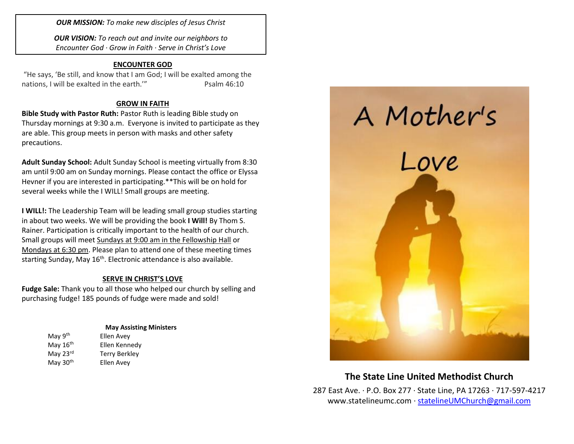*OUR MISSION: To make new disciples of Jesus Christ*

*OUR VISION: To reach out and invite our neighbors to Encounter God · Grow in Faith · Serve in Christ's Love*

### **ENCOUNTER GOD**

"He says, 'Be still, and know that I am God; I will be exalted among the nations, I will be exalted in the earth." Psalm 46:10

## **GROW IN FAITH**

**Bible Study with Pastor Ruth:** Pastor Ruth is leading Bible study on Thursday mornings at 9:30 a.m. Everyone is invited to participate as they are able. This group meets in person with masks and other safety precautions.

**Adult Sunday School:** Adult Sunday School is meeting virtually from 8:30 am until 9:00 am on Sunday mornings. Please contact the office or Elyssa Hevner if you are interested in participating.\*\*This will be on hold for several weeks while the I WILL! Small groups are meeting.

**I WILL!:** The Leadership Team will be leading small group studies starting in about two weeks. We will be providing the book **I Will!** By Thom S. Rainer. Participation is critically important to the health of our church. Small groups will meet Sundays at 9:00 am in the Fellowship Hall or Mondays at 6:30 pm. Please plan to attend one of these meeting times starting Sunday, May 16<sup>th</sup>. Electronic attendance is also available.

## **SERVE IN CHRIST'S LOVE**

**Fudge Sale:** Thank you to all those who helped our church by selling and purchasing fudge! 185 pounds of fudge were made and sold!

#### **May Assisting Ministers**

May 9<sup>th</sup> Ellen Avey May  $16<sup>th</sup>$  Ellen Kennedy May 23<sup>rd</sup> Terry Berkley May 30<sup>th</sup> Ellen Avey



# **The State Line United Methodist Church**

287 East Ave. · P.O. Box 277 · State Line, PA 17263 · 717-597-4217 [www.statelineumc.com](http://www.statelineumc.com/) · [statelineUMChurch@gmail.com](mailto:statelineUMChurch@gmail.com)